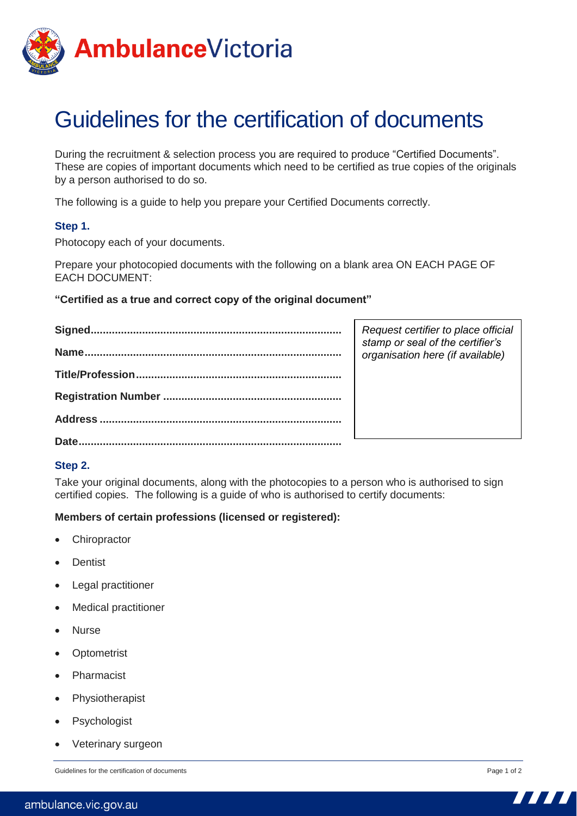

# Guidelines for the certification of documents

During the recruitment & selection process you are required to produce "Certified Documents". These are copies of important documents which need to be certified as true copies of the originals by a person authorised to do so.

The following is a guide to help you prepare your Certified Documents correctly.

## **Step 1.**

Photocopy each of your documents.

Prepare your photocopied documents with the following on a blank area ON EACH PAGE OF EACH DOCUMENT:

## **"Certified as a true and correct copy of the original document"**

|       | Request certifier to place official<br>stamp or seal of the certifier's<br>organisation here (if available) |
|-------|-------------------------------------------------------------------------------------------------------------|
|       |                                                                                                             |
|       |                                                                                                             |
|       |                                                                                                             |
| Date. |                                                                                                             |

## **Step 2.**

Take your original documents, along with the photocopies to a person who is authorised to sign certified copies. The following is a guide of who is authorised to certify documents:

## **Members of certain professions (licensed or registered):**

- Chiropractor
- **Dentist**
- Legal practitioner
- Medical practitioner
- Nurse
- Optometrist
- Pharmacist
- Physiotherapist
- Psychologist
- Veterinary surgeon

Guidelines for the certification of documents **Page 1** of 2

7777